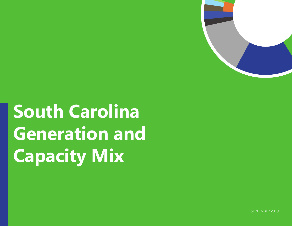

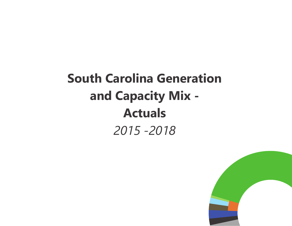# **South Carolina Generation and Capacity Mix - Actuals** *2015 -2018*

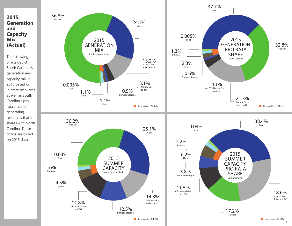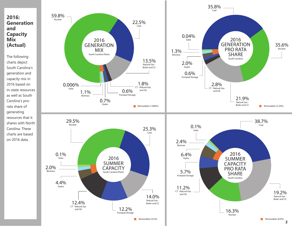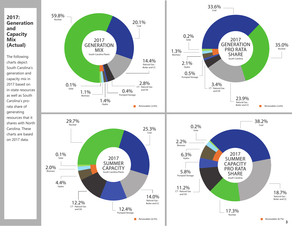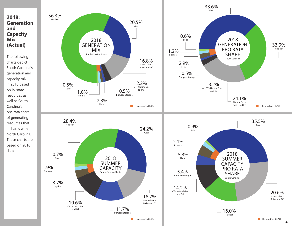

The following charts depict South Carolina's generation and capacity mix in 2018 based on in-state resources as well as South Carolina's pro-rata share of generating resources that it shares with North Carolina. These charts are based on 2018 data.

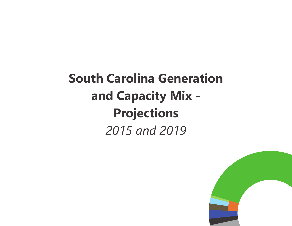# **South Carolina Generation and Capacity Mix - Projections** *2015 and 2019*

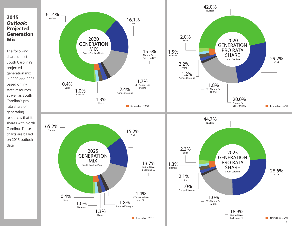### **2015**  *Outlook***: Projected Generation Mix**

The following charts depict South Carolina's projected generation mix in 2020 and 2025 based on instate resources as well as South Carolina's prorata share of generating resources that it shares with North Carolina. These charts are based on 2015 outlook data.

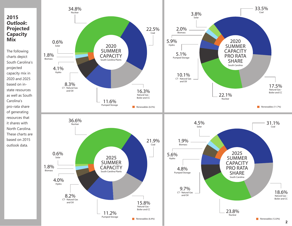#### **2015**  *Outlook***: Projected Capacity Mix**

The following charts depict South Carolina's projected capacity mix in 2020 and 2025 based on instate resources as well as South Carolina's pro-rata share of generating resources that it shares with North Carolina. These charts are based on 2015 outlook data.

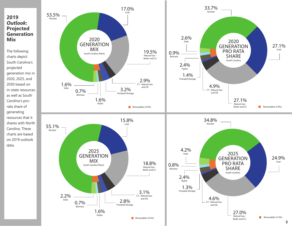### **2019**  *Outlook***: Projected Generation Mix**

The following charts depict South Carolina's projected generation mix in 2020, 2025, and 2030 based on in-state resources as well as South Carolina's prorata share of generating resources that it shares with North Carolina. These charts are based on 2019 outlook data.

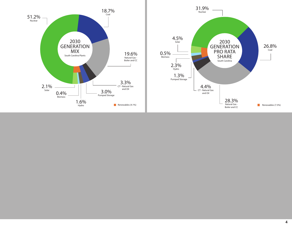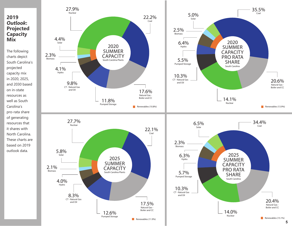#### **2019**  *Outlook***: Projected Capacity Mix**

The following charts depict South Carolina's projected capacity mix in 2020, 2025, and 2030 based on in-state resources as well as South Carolina's pro-rata share of generating resources that it shares with North Carolina. These charts are based on 2019 outlook data.

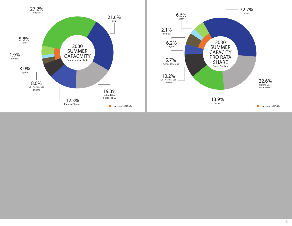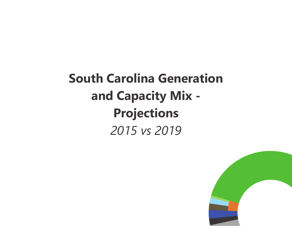# **South Carolina Generation and Capacity Mix - Projections** *2015 vs 2019*

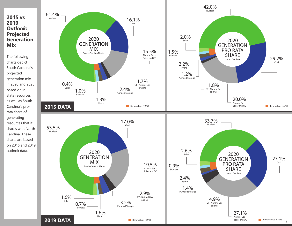

The following charts depict South Carolina's projected generation mix in 2020 and 2025 based on instate resources as well as South Carolina's prorata share of generating resources that it shares with North Carolina. These charts are based on 2015 and 2019 outlook data.

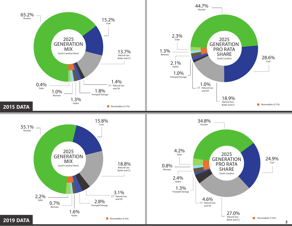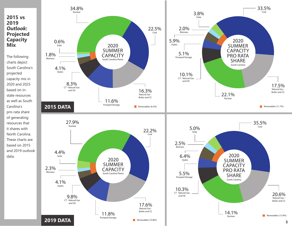#### **2015 vs 2019**  *Outlook***: Projected Capacity Mix**

The following charts depict South Carolina's projected capacity mix in 2020 and 2025 based on instate resources as well as South Carolina's pro-rata share of generating resources that it shares with North Carolina. These charts are based on 2015 and 2019 outlook data.